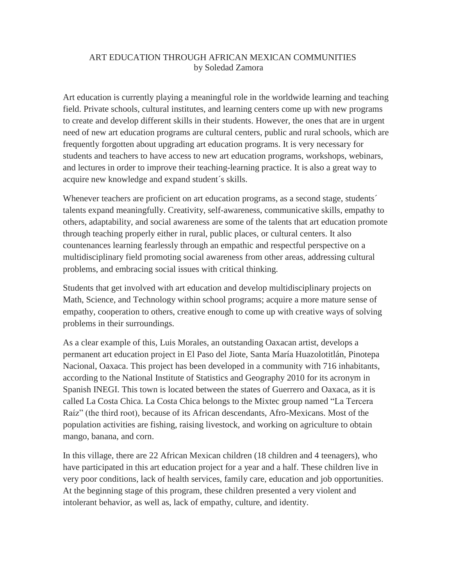## ART EDUCATION THROUGH AFRICAN MEXICAN COMMUNITIES by Soledad Zamora

Art education is currently playing a meaningful role in the worldwide learning and teaching field. Private schools, cultural institutes, and learning centers come up with new programs to create and develop different skills in their students. However, the ones that are in urgent need of new art education programs are cultural centers, public and rural schools, which are frequently forgotten about upgrading art education programs. It is very necessary for students and teachers to have access to new art education programs, workshops, webinars, and lectures in order to improve their teaching-learning practice. It is also a great way to acquire new knowledge and expand student´s skills.

Whenever teachers are proficient on art education programs, as a second stage, students<sup> $\dot{\ }$ </sup> talents expand meaningfully. Creativity, self-awareness, communicative skills, empathy to others, adaptability, and social awareness are some of the talents that art education promote through teaching properly either in rural, public places, or cultural centers. It also countenances learning fearlessly through an empathic and respectful perspective on a multidisciplinary field promoting social awareness from other areas, addressing cultural problems, and embracing social issues with critical thinking.

Students that get involved with art education and develop multidisciplinary projects on Math, Science, and Technology within school programs; acquire a more mature sense of empathy, cooperation to others, creative enough to come up with creative ways of solving problems in their surroundings.

As a clear example of this, Luis Morales, an outstanding Oaxacan artist, develops a permanent art education project in El Paso del Jiote, Santa María Huazolotitlán, Pinotepa Nacional, Oaxaca. This project has been developed in a community with 716 inhabitants, according to the National Institute of Statistics and Geography 2010 for its acronym in Spanish INEGI. This town is located between the states of Guerrero and Oaxaca, as it is called La Costa Chica. La Costa Chica belongs to the Mixtec group named "La Tercera Raíz" (the third root), because of its African descendants, Afro-Mexicans. Most of the population activities are fishing, raising livestock, and working on agriculture to obtain mango, banana, and corn.

In this village, there are 22 African Mexican children (18 children and 4 teenagers), who have participated in this art education project for a year and a half. These children live in very poor conditions, lack of health services, family care, education and job opportunities. At the beginning stage of this program, these children presented a very violent and intolerant behavior, as well as, lack of empathy, culture, and identity.